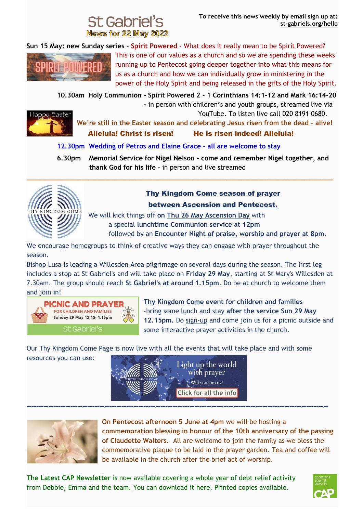# **News for 22 May 2022**

**Sun 15 May: new Sunday series - Spirit Powered -** What does it really mean to be Spirit Powered?



This is one of our values as a church and so we are spending these weeks running up to Pentecost going deeper together into what this means for us as a church and how we can individually grow in ministering in the power of the Holy Spirit and being released in the gifts of the Holy Spirit.

 **10.30am Holy Communion - Spirit Powered 2 - 1 Corinthians 14:1-12 and Mark 16:14-20**



 - in person with children's and youth groups, streamed live via YouTube. To listen live call 020 8191 0680.

**We're still in the Easter season and celebrating Jesus risen from the dead - alive!** Alleluia! Christ is risen! He is risen indeed! Alleluia!

 **12.30pm Wedding of Petros and Elaine Grace - all are welcome to stay** 

**\_\_\_\_\_\_\_\_\_\_\_\_\_\_\_\_\_\_\_\_\_\_\_\_\_\_\_\_\_\_\_\_\_\_\_\_\_\_\_\_\_\_\_\_\_\_\_\_\_\_\_\_\_\_\_\_\_\_\_\_\_\_\_\_\_\_\_\_\_\_\_\_\_\_\_\_\_\_**

 **6.30pm Memorial Service for Nigel Nelson – come and remember Nigel together, and thank God for his life** - in person and live streamed



## Thy Kingdom Come season of prayer

between Ascension and Pentecost.

We will kick things off **on Thu 26 May Ascension Day** with a special **lunchtime Communion service at 12pm** followed by an **Encounter Night of praise, worship and prayer at 8pm**.

We encourage homegroups to think of creative ways they can engage with prayer throughout the season.

Bishop Lusa is leading a Willesden Area pilgrimage on several days during the season. The first leg includes a stop at St Gabriel's and will take place on **Friday 29 May**, starting at St Mary's Willesden at 7.30am. The group should reach **St Gabriel's at around 1.15pm**. Do be at church to welcome them and join in!



**Thy Kingdom Come event for children and families** -bring some lunch and stay **after the service Sun 29 May 12.15pm.** Do [sign-up](https://st-gabriels.us19.list-manage.com/track/click?u=8be6c1f9211f8d2b867be0c19&id=90b6821450&e=8fbea94df1) and come join us for a picnic outside and some interactive prayer activities in the church.

Our [Thy Kingdom Come Page](https://st-gabriels.us19.list-manage.com/track/click?u=8be6c1f9211f8d2b867be0c19&id=44df7c500f&e=8fbea94df1) is now live with all the events that will take place and with some

resources you can use:



----------------------------------------------------------------------------------------------------------------------------



**On Pentecost afternoon 5 June at 4pm** we will be hosting a **commemoration blessing in honour of the 10th anniversary of the passing of Claudette Walters.** All are welcome to join the family as we bless the commemorative plaque to be laid in the prayer garden. Tea and coffee will be available in the church after the brief act of worship.

**The Latest CAP Newsletter** is now available covering a whole year of debt relief activity from Debbie, Emma and the team. [You can download it here.](https://st-gabriels.us19.list-manage.com/track/click?u=8be6c1f9211f8d2b867be0c19&id=c1b8abb028&e=8fbea94df1) Printed copies available.